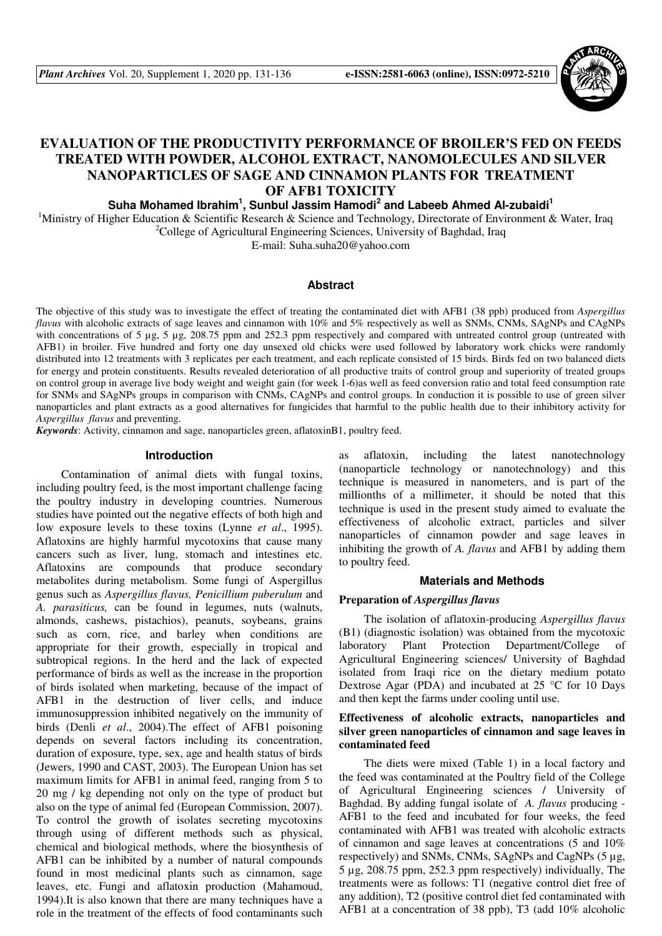

# **EVALUATION OF THE PRODUCTIVITY PERFORMANCE OF BROILER'S FED ON FEEDS TREATED WITH POWDER, ALCOHOL EXTRACT, NANOMOLECULES AND SILVER NANOPARTICLES OF SAGE AND CINNAMON PLANTS FOR TREATMENT OF AFB1 TOXICITY**

# **Suha Mohamed Ibrahim<sup>1</sup> , Sunbul Jassim Hamodi<sup>2</sup> and Labeeb Ahmed Al-zubaidi<sup>1</sup>**

<sup>1</sup>Ministry of Higher Education & Scientific Research & Science and Technology, Directorate of Environment & Water, Iraq <sup>2</sup>College of Agricultural Engineering Sciences, University of Baghdad, Iraq

E-mail: Suha.suha20@yahoo.com

# **Abstract**

The objective of this study was to investigate the effect of treating the contaminated diet with AFB1 (38 ppb) produced from *Aspergillus flavus* with alcoholic extracts of sage leaves and cinnamon with 10% and 5% respectively as well as SNMs, CNMs, SAgNPs and CAgNPs with concentrations of 5 µg, 5 µg, 208.75 ppm and 252.3 ppm respectively and compared with untreated control group (untreated with AFB1) in broiler. Five hundred and forty one day unsexed old chicks were used followed by laboratory work chicks were randomly distributed into 12 treatments with 3 replicates per each treatment, and each replicate consisted of 15 birds. Birds fed on two balanced diets for energy and protein constituents. Results revealed deterioration of all productive traits of control group and superiority of treated groups on control group in average live body weight and weight gain (for week 1-6)as well as feed conversion ratio and total feed consumption rate for SNMs and SAgNPs groups in comparison with CNMs, CAgNPs and control groups. In conduction it is possible to use of green silver nanoparticles and plant extracts as a good alternatives for fungicides that harmful to the public health due to their inhibitory activity for *Aspergillus flavus* and preventing.

*Keywords*: Activity, cinnamon and sage, nanoparticles green, aflatoxinB1, poultry feed.

# **Introduction**

Contamination of animal diets with fungal toxins, including poultry feed, is the most important challenge facing the poultry industry in developing countries. Numerous studies have pointed out the negative effects of both high and low exposure levels to these toxins (Lynne *et al*., 1995). Aflatoxins are highly harmful mycotoxins that cause many cancers such as liver, lung, stomach and intestines etc. Aflatoxins are compounds that produce secondary metabolites during metabolism. Some fungi of Aspergillus genus such as *Aspergillus flavus, Penicillium puberulum* and *A. parasiticus,* can be found in legumes, nuts (walnuts, almonds, cashews, pistachios), peanuts, soybeans, grains such as corn, rice, and barley when conditions are appropriate for their growth, especially in tropical and subtropical regions. In the herd and the lack of expected performance of birds as well as the increase in the proportion of birds isolated when marketing, because of the impact of AFB1 in the destruction of liver cells, and induce immunosuppression inhibited negatively on the immunity of birds (Denli *et al*., 2004).The effect of AFB1 poisoning depends on several factors including its concentration, duration of exposure, type, sex, age and health status of birds (Jewers, 1990 and CAST, 2003). The European Union has set maximum limits for AFB1 in animal feed, ranging from 5 to 20 mg / kg depending not only on the type of product but also on the type of animal fed (European Commission, 2007). To control the growth of isolates secreting mycotoxins through using of different methods such as physical, chemical and biological methods, where the biosynthesis of AFB1 can be inhibited by a number of natural compounds found in most medicinal plants such as cinnamon, sage leaves, etc. Fungi and aflatoxin production (Mahamoud, 1994).It is also known that there are many techniques have a role in the treatment of the effects of food contaminants such as aflatoxin, including the latest nanotechnology (nanoparticle technology or nanotechnology) and this technique is measured in nanometers, and is part of the millionths of a millimeter, it should be noted that this technique is used in the present study aimed to evaluate the effectiveness of alcoholic extract, particles and silver nanoparticles of cinnamon powder and sage leaves in inhibiting the growth of *A. flavus* and AFB1 by adding them to poultry feed.

#### **Materials and Methods**

#### **Preparation of** *Aspergillus flavus*

The isolation of aflatoxin-producing *Aspergillus flavus* (B1) (diagnostic isolation) was obtained from the mycotoxic laboratory Plant Protection Department/College of Agricultural Engineering sciences/ University of Baghdad isolated from Iraqi rice on the dietary medium potato Dextrose Agar (PDA) and incubated at 25 °C for 10 Days and then kept the farms under cooling until use.

# **Effectiveness of alcoholic extracts, nanoparticles and silver green nanoparticles of cinnamon and sage leaves in contaminated feed**

The diets were mixed (Table 1) in a local factory and the feed was contaminated at the Poultry field of the College of Agricultural Engineering sciences / University of Baghdad. By adding fungal isolate of *A. flavus* producing - AFB1 to the feed and incubated for four weeks, the feed contaminated with AFB1 was treated with alcoholic extracts of cinnamon and sage leaves at concentrations (5 and 10% respectively) and SNMs, CNMs, SAgNPs and CagNPs (5 µg, 5 µg, 208.75 ppm, 252.3 ppm respectively) individually, The treatments were as follows: T1 (negative control diet free of any addition), T2 (positive control diet fed contaminated with AFB1 at a concentration of 38 ppb), T3 (add 10% alcoholic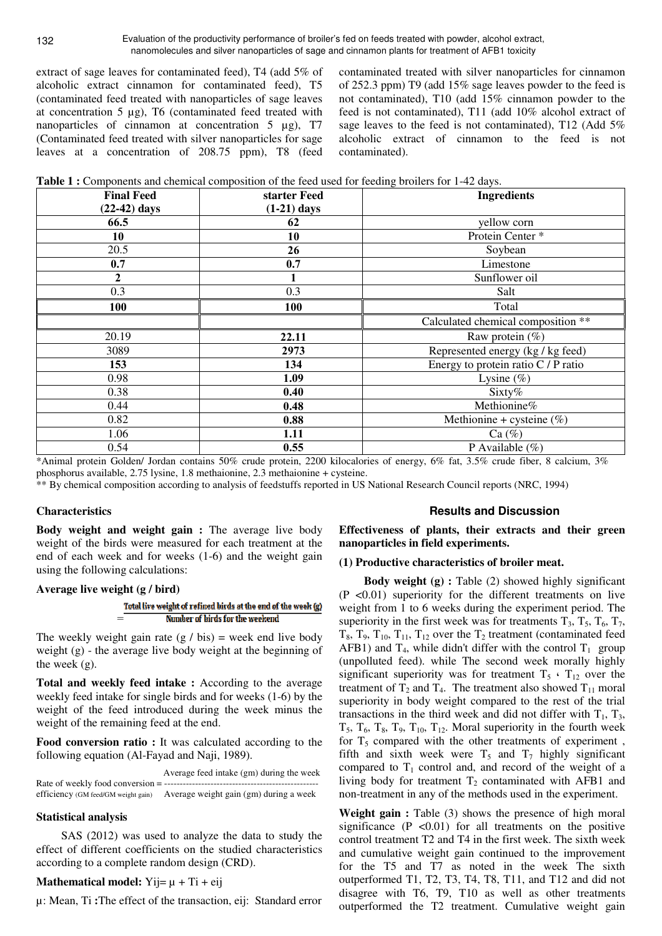extract of sage leaves for contaminated feed), T4 (add 5% of alcoholic extract cinnamon for contaminated feed), T5 (contaminated feed treated with nanoparticles of sage leaves at concentration 5 µg), T6 (contaminated feed treated with nanoparticles of cinnamon at concentration  $5 \mu g$ , T7 (Contaminated feed treated with silver nanoparticles for sage leaves at a concentration of 208.75 ppm), T8 (feed

contaminated treated with silver nanoparticles for cinnamon of 252.3 ppm) T9 (add 15% sage leaves powder to the feed is not contaminated), T10 (add 15% cinnamon powder to the feed is not contaminated), T11 (add 10% alcohol extract of sage leaves to the feed is not contaminated), T12 (Add 5% alcoholic extract of cinnamon to the feed is not contaminated).

|  | Table 1 : Components and chemical composition of the feed used for feeding broilers for 1-42 days. |  |  |  |
|--|----------------------------------------------------------------------------------------------------|--|--|--|
|--|----------------------------------------------------------------------------------------------------|--|--|--|

| <b>Final Feed</b> | starter Feed  | <b>Ingredients</b>                  |
|-------------------|---------------|-------------------------------------|
| $(22-42)$ days    | $(1-21)$ days |                                     |
| 66.5              | 62            | yellow corn                         |
| 10                | 10            | Protein Center <sup>*</sup>         |
| 20.5              | 26            | Soybean                             |
| 0.7               | 0.7           | Limestone                           |
| $\boldsymbol{2}$  |               | Sunflower oil                       |
| 0.3               | 0.3           | Salt                                |
| 100               | 100           | Total                               |
|                   |               | Calculated chemical composition **  |
| 20.19             | 22.11         | Raw protein $(\%)$                  |
| 3089              | 2973          | Represented energy (kg / kg feed)   |
| 153               | 134           | Energy to protein ratio C / P ratio |
| 0.98              | 1.09          | Lysine $(\%)$                       |
| 0.38              | 0.40          | Sixty%                              |
| 0.44              | 0.48          | Methionine%                         |
| 0.82              | 0.88          | Methionine + cysteine $(\%)$        |
| 1.06              | 1.11          | Ca $(\%)$                           |
| 0.54              | 0.55          | P Available $(\% )$                 |

\*Animal protein Golden/ Jordan contains 50% crude protein, 2200 kilocalories of energy, 6% fat, 3.5% crude fiber, 8 calcium, 3% phosphorus available, 2.75 lysine, 1.8 methaionine, 2.3 methaionine + cysteine.

\*\* By chemical composition according to analysis of feedstuffs reported in US National Research Council reports (NRC, 1994)

#### **Characteristics**

**Body weight and weight gain :** The average live body weight of the birds were measured for each treatment at the end of each week and for weeks (1-6) and the weight gain using the following calculations:

# **Average live weight (g / bird)**

#### = Number of birds for the weekend

The weekly weight gain rate  $(g / bis)$  = week end live body weight (g) - the average live body weight at the beginning of the week (g).

**Total and weekly feed intake :** According to the average weekly feed intake for single birds and for weeks (1-6) by the weight of the feed introduced during the week minus the weight of the remaining feed at the end.

**Food conversion ratio :** It was calculated according to the following equation (Al-Fayad and Naji, 1989).

 Average feed intake (gm) during the week Rate of weekly food conversion  $=$  ------efficiency (GM feed/GM weight gain) Average weight gain (gm) during a week

#### **Statistical analysis**

SAS (2012) was used to analyze the data to study the effect of different coefficients on the studied characteristics according to a complete random design (CRD).

# **Mathematical model:** Yij=  $\mu$  + Ti + eij

µ: Mean, Ti :The effect of the transaction, eij: Standard error

#### **Results and Discussion**

**Effectiveness of plants, their extracts and their green nanoparticles in field experiments.** 

#### **(1) Productive characteristics of broiler meat.**

**Body weight (g) :** Table (2) showed highly significant (P <0.01) superiority for the different treatments on live weight from 1 to 6 weeks during the experiment period. The superiority in the first week was for treatments  $T_3$ ,  $T_5$ ,  $T_6$ ,  $T_7$ ,  $T_8$ ,  $T_9$ ,  $T_{10}$ ,  $T_{11}$ ,  $T_{12}$  over the  $T_2$  treatment (contaminated feed AFB1) and  $T_4$ , while didn't differ with the control  $T_1$  group (unpolluted feed). while The second week morally highly significant superiority was for treatment  $T_5 \cdot T_{12}$  over the treatment of  $T_2$  and  $T_4$ . The treatment also showed  $T_{11}$  moral superiority in body weight compared to the rest of the trial transactions in the third week and did not differ with  $T_1$ ,  $T_3$ ,  $T_5$ ,  $T_6$ ,  $T_8$ ,  $T_9$ ,  $T_{10}$ ,  $T_{12}$ . Moral superiority in the fourth week for  $T_5$  compared with the other treatments of experiment, fifth and sixth week were  $T_5$  and  $T_7$  highly significant compared to  $T_1$  control and, and record of the weight of a living body for treatment  $T_2$  contaminated with AFB1 and non-treatment in any of the methods used in the experiment.

**Weight gain :** Table (3) shows the presence of high moral significance  $(P \le 0.01)$  for all treatments on the positive control treatment T2 and T4 in the first week. The sixth week and cumulative weight gain continued to the improvement for the T5 and T7 as noted in the week The sixth outperformed T1, T2, T3, T4, T8, T11, and T12 and did not disagree with T6, T9, T10 as well as other treatments outperformed the T2 treatment. Cumulative weight gain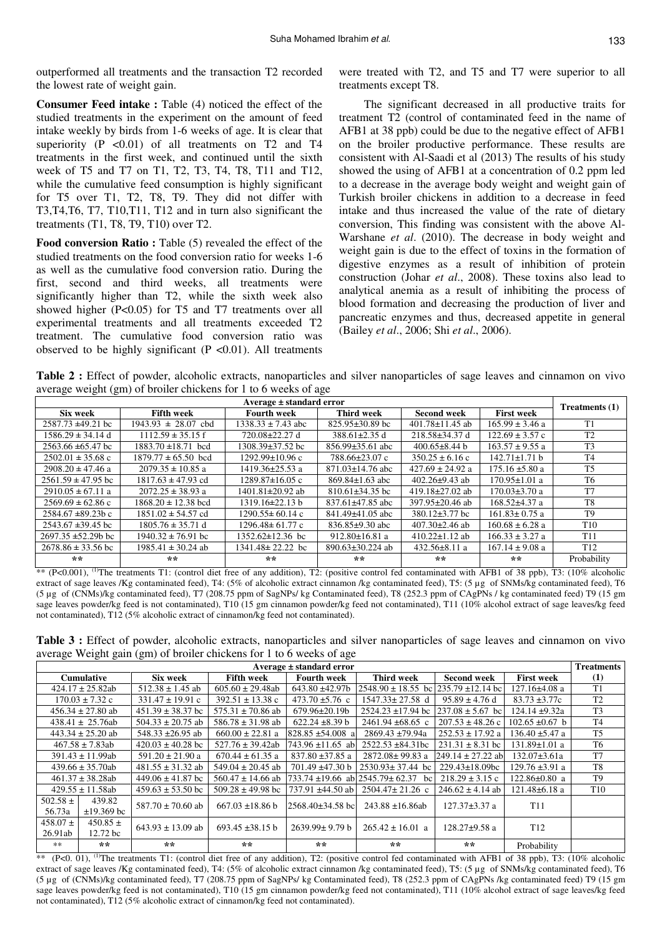outperformed all treatments and the transaction T2 recorded the lowest rate of weight gain.

**Consumer Feed intake :** Table (4) noticed the effect of the studied treatments in the experiment on the amount of feed intake weekly by birds from 1-6 weeks of age. It is clear that superiority  $(P \le 0.01)$  of all treatments on T2 and T4 treatments in the first week, and continued until the sixth week of T5 and T7 on T1, T2, T3, T4, T8, T11 and T12, while the cumulative feed consumption is highly significant for T5 over T1, T2, T8, T9. They did not differ with T3,T4,T6, T7, T10,T11, T12 and in turn also significant the treatments (T1, T8, T9, T10) over T2.

**Food conversion Ratio :** Table (5) revealed the effect of the studied treatments on the food conversion ratio for weeks 1-6 as well as the cumulative food conversion ratio. During the first, second and third weeks, all treatments were significantly higher than T2, while the sixth week also showed higher (P<0.05) for T5 and T7 treatments over all experimental treatments and all treatments exceeded T2 treatment. The cumulative food conversion ratio was observed to be highly significant ( $P < 0.01$ ). All treatments

were treated with T2, and T5 and T7 were superior to all treatments except T8.

The significant decreased in all productive traits for treatment T2 (control of contaminated feed in the name of AFB1 at 38 ppb) could be due to the negative effect of AFB1 on the broiler productive performance. These results are consistent with Al-Saadi et al (2013) The results of his study showed the using of AFB1 at a concentration of 0.2 ppm led to a decrease in the average body weight and weight gain of Turkish broiler chickens in addition to a decrease in feed intake and thus increased the value of the rate of dietary conversion, This finding was consistent with the above Al-Warshane *et al*. (2010). The decrease in body weight and weight gain is due to the effect of toxins in the formation of digestive enzymes as a result of inhibition of protein construction (Johar *et al*., 2008). These toxins also lead to analytical anemia as a result of inhibiting the process of blood formation and decreasing the production of liver and pancreatic enzymes and thus, decreased appetite in general (Bailey *et al*., 2006; Shi *et al*., 2006).

**Table 2 :** Effect of powder, alcoholic extracts, nanoparticles and silver nanoparticles of sage leaves and cinnamon on vivo average weight (gm) of broiler chickens for 1 to 6 weeks of age

| Average $\pm$ standard error |                                         |                        |                        |                       |                     |                 |
|------------------------------|-----------------------------------------|------------------------|------------------------|-----------------------|---------------------|-----------------|
| Six week                     | <b>Fifth week</b><br><b>Fourth week</b> |                        | Third week             | <b>Second week</b>    | <b>First week</b>   | Treatments (1)  |
| $2587.73 \pm 49.21$ bc       | $1943.93 \pm 28.07$ cbd                 | $1338.33 \pm 7.43$ abc | $825.95\pm30.89$ bc    | $401.78 \pm 11.45$ ab | $165.99 \pm 3.46$ a | T1              |
| $1586.29 \pm 34.14$ d        | $1112.59 \pm 35.15$ f                   | 720.08±22.27 d         | $388.61 \pm 2.35$ d    | 218.58±34.37 d        | $122.69 \pm 3.57$ c | T <sub>2</sub>  |
| $2563.66 \pm 65.47$ bc       | $1883.70 \pm 18.71$ bcd                 | 1308.39±37.52 bc       | $856.99 \pm 35.61$ abc | $400.65 \pm 8.44$ b   | $163.57 \pm 9.55$ a | T <sub>3</sub>  |
| $2502.01 \pm 35.68$ c        | $1879.77 \pm 65.50$ bcd                 | 1292.99±10.96 c        | 788.66±23.07 c         | $350.25 \pm 6.16$ c   | $142.71 \pm 1.71$ b | T <sub>4</sub>  |
| $2908.20 \pm 47.46$ a        | $2079.35 \pm 10.85$ a                   | $1419.36 \pm 25.53$ a  | $871.03 \pm 14.76$ abc | $427.69 \pm 24.92$ a  | $175.16 \pm 5.80$ a | T <sub>5</sub>  |
| $2561.59 \pm 47.95$ bc       | $1817.63 \pm 47.93$ cd                  | $1289.87 \pm 16.05$ c  | $869.84 \pm 1.63$ abc  | $402.26 \pm 9.43$ ab  | $170.95 \pm 1.01$ a | T <sub>6</sub>  |
| $2910.05 \pm 67.11$ a        | $2072.25 \pm 38.93$ a                   | $1401.81 \pm 20.92$ ab | $810.61\pm34.35$ bc    | 419.18 $\pm$ 27.02 ab | $170.03 \pm 3.70$ a | T <sub>7</sub>  |
| $2569.69 \pm 62.86$ c        | $1868.20 \pm 12.38$ bcd                 | $1319.16 \pm 22.13 b$  | $837.61 \pm 47.85$ abc | 397.95±20.46 ab       | $168.52\pm4.37$ a   | T <sub>8</sub>  |
| $2584.67 \pm 89.23$ b c      | $1851.02 \pm 54.57$ cd                  | $1290.55 \pm 60.14$ c  | $841.49 \pm 41.05$ abc | $380.12 \pm 3.77$ bc  | $161.83 \pm 0.75$ a | T <sub>9</sub>  |
| $2543.67 \pm 39.45$ bc       | $1805.76 \pm 35.71$ d                   | $1296.48 \pm 61.77$ c  | $836.85\pm9.30$ abc    | $407.30 \pm 2.46$ ab  | $160.68 \pm 6.28$ a | T <sub>10</sub> |
| $2697.35 \pm 52.29b$ bc      | $1940.32 \pm 76.91$ bc                  | 1352.62±12.36 bc       | 912.80 $\pm$ 16.81 a   | $410.22 \pm 1.12$ ab  | $166.33 \pm 3.27$ a | T <sub>11</sub> |
| $2678.86 \pm 33.56$ bc       | $1985.41 \pm 30.24$ ab                  | 1341.48± 22.22 bc      | $890.63 \pm 30.224$ ab | $432.56 \pm 8.11$ a   | $167.14 \pm 9.08$ a | T <sub>12</sub> |
| $**$                         | $**$                                    | $**$                   | **                     | **                    | $**$                | Probability     |

\*\* (P<0.001), <sup>(1)</sup>The treatments T1: (control diet free of any addition), T2: (positive control fed contaminated with AFB1 of 38 ppb), T3: (10% alcoholic extract of sage leaves /Kg contaminated feed), T4: (5% of alcoholic extract cinnamon /kg contaminated feed), T5: (5 µg of SNMs/kg contaminated feed), T6 (5 µg of (CNMs)/kg contaminated feed), T7 (208.75 ppm of SagNPs/ kg Contaminated feed), T8 (252.3 ppm of CAgPNs / kg contaminated feed) T9 (15 gm sage leaves powder/kg feed is not contaminated), T10 (15 gm cinnamon powder/kg feed not contaminated), T11 (10% alcohol extract of sage leaves/kg feed not contaminated), T12 (5% alcoholic extract of cinnamon/kg feed not contaminated).

**Table 3 :** Effect of powder, alcoholic extracts, nanoparticles and silver nanoparticles of sage leaves and cinnamon on vivo average Weight gain (gm) of broiler chickens for 1 to 6 weeks of age

| Average $\pm$ standard error                 |                               |                       |                                         |                                              |                                  |                       |                     | <b>Treatments</b> |
|----------------------------------------------|-------------------------------|-----------------------|-----------------------------------------|----------------------------------------------|----------------------------------|-----------------------|---------------------|-------------------|
|                                              | <b>Cumulative</b><br>Six week |                       | <b>Fifth week</b><br><b>Fourth week</b> |                                              | Third week<br><b>Second week</b> |                       | <b>First week</b>   | (1)               |
| $512.38 \pm 1.45$ ab<br>$424.17 \pm 25.82ab$ |                               | $605.60 \pm 29.48ab$  | $643.80 \pm 42.97b$                     | $2548.90 \pm 18.55$ bc $235.79 \pm 12.14$ bc |                                  | $127.16\pm4.08$ a     | T <sub>1</sub>      |                   |
|                                              | $170.03 \pm 7.32$ c           | $331.47 \pm 19.91$ c  | $392.51 \pm 13.38$ c                    | $473.70 \pm 5.76$ c                          | $1547.33 \pm 27.58$ d            | $95.89 \pm 4.76$ d    | $83.73 \pm 3.77c$   | T <sub>2</sub>    |
|                                              | $456.34 \pm 27.80$ ab         | $451.39 \pm 38.37$ bc | $575.31 \pm 70.86$ ab                   | $679.96 \pm 20.19$                           | $2524.23 \pm 17.94$ bc           | $237.08 \pm 5.67$ bc  | $124.14 \pm 9.32a$  | T <sub>3</sub>    |
|                                              | $438.41 \pm 25.76ab$          | $504.33 \pm 20.75$ ab | $586.78 \pm 31.98$ ab                   | $622.24 \pm 8.39$ b                          | $2461.94 \pm 68.65$ c            | $207.53 \pm 48.26$ c  | $102.65 \pm 0.67$ b | T <sub>4</sub>    |
|                                              | $443.34 \pm 25.20$ ab         | 548.33 $\pm$ 26.95 ab | $660.00 \pm 22.81$ a                    | $828.85 \pm 54.008$ a                        | $2869.43 \pm 79.94a$             | $252.53 \pm 17.92$ a  | $136.40 \pm 5.47$ a | T <sub>5</sub>    |
|                                              | $467.58 \pm 7.83ab$           | $420.03 \pm 40.28$ bc | $527.76 \pm 39.42ab$                    | $743.96 \pm 11.65$ ab                        | $2522.53 \pm 84.31$ bc           | $231.31 \pm 8.31$ bc  | $131.89 \pm 1.01$ a | T6                |
|                                              | $391.43 \pm 11.99ab$          | $591.20 \pm 21.90 a$  | $670.44 \pm 61.35$ a                    | 837.80 ±37.85 a                              | 2872.08±99.83 a                  | $249.14 \pm 27.22$ ab | $132.07 \pm 3.61a$  | T <sub>7</sub>    |
|                                              | $439.66 \pm 35.70ab$          | $481.55 \pm 31.32$ ab | $549.04 \pm 20.45$ ab                   | $701.49 \pm 47.30 b$                         | $2530.93 \pm 37.44$ bc           | $229.43 \pm 18.09$ bc | $129.76 \pm 3.91$ a | T <sub>8</sub>    |
|                                              | $461.37 \pm 38.28ab$          | $449.06 \pm 41.87$ bc | $560.47 \pm 14.66$ ab                   | $733.74 \pm 19.66$ ab $2545.79 \pm 62.37$    | bc                               | $218.29 \pm 3.15$ c   | $122.86 \pm 0.80$ a | T <sub>9</sub>    |
|                                              | $429.55 \pm 11.58ab$          | $459.63 \pm 53.50$ bc | $509.28 \pm 49.98$ bc                   | $1737.91 \pm 44.50$ ab                       | $2504.47 \pm 21.26$ c            | $246.62 \pm 4.14$ ab  | $121.48 \pm 6.18$ a | T <sub>10</sub>   |
| $502.58 \pm$<br>56.73a                       | 439.82<br>$\pm 19.369$ bc     | $587.70 \pm 70.60$ ab | $667.03 \pm 18.86 b$                    | $2568.40\pm34.58$ bc                         | $243.88 \pm 16.86ab$             | $127.37 \pm 3.37$ a   | T <sub>11</sub>     |                   |
| $458.07 \pm$<br>26.91ab                      | $450.85 \pm$<br>12.72 bc      | $643.93 \pm 13.09$ ab | 693.45 $\pm$ 38.15 b                    | $2639.99 \pm 9.79 b$                         | $265.42 \pm 16.01$ a             | $128.27 \pm 9.58$ a   | T <sub>12</sub>     |                   |
| **                                           | $* *$                         | $* *$                 | $* *$                                   | **                                           | $* *$                            | $* *$                 | Probability         |                   |

\*\*  $(P<0. 01)$ , <sup>(1)</sup>The treatments T1: (control diet free of any addition), T2: (positive control fed contaminated with AFB1 of 38 ppb), T3: (10% alcoholic extract of sage leaves /Kg contaminated feed), T4: (5% of alcoholic extract cinnamon /kg contaminated feed), T5: (5 µg of SNMs/kg contaminated feed), T6 (5 µg of (CNMs)/kg contaminated feed), T7 (208.75 ppm of SagNPs/ kg Contaminated feed), T8 (252.3 ppm of CAgPNs /kg contaminated feed) T9 (15 gm sage leaves powder/kg feed is not contaminated), T10 (15 gm cinnamon powder/kg feed not contaminated), T11 (10% alcohol extract of sage leaves/kg feed not contaminated), T12 (5% alcoholic extract of cinnamon/kg feed not contaminated).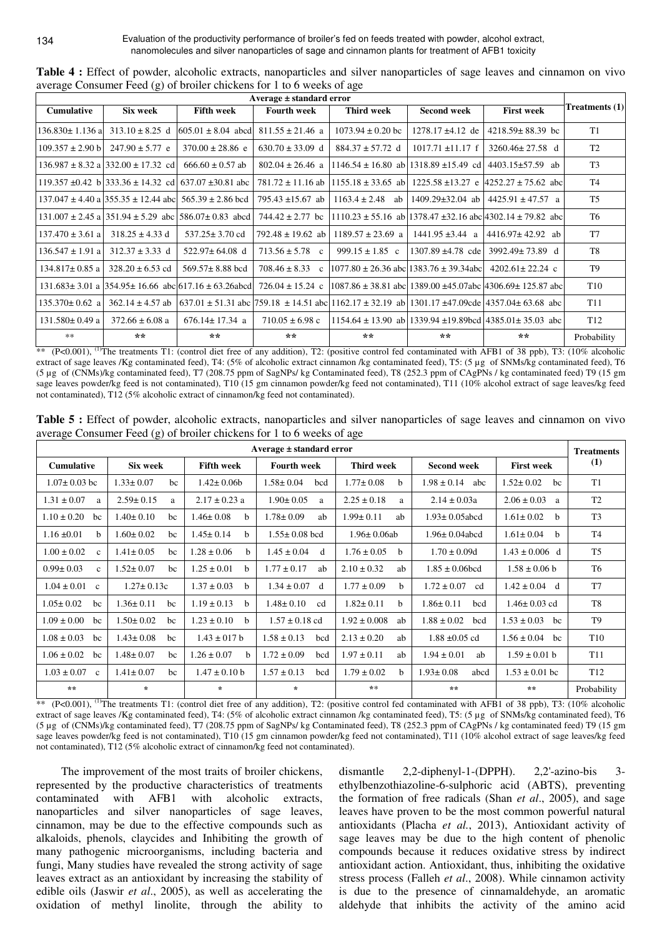| Average $\pm$ standard error |                                                                    |                                                                                           |                                   |                                                |                        |                                                                                                                                                                                                            |                 |
|------------------------------|--------------------------------------------------------------------|-------------------------------------------------------------------------------------------|-----------------------------------|------------------------------------------------|------------------------|------------------------------------------------------------------------------------------------------------------------------------------------------------------------------------------------------------|-----------------|
| <b>Cumulative</b>            | Six week                                                           | <b>Fifth week</b>                                                                         | <b>Fourth week</b>                | Third week                                     | <b>Second week</b>     | <b>First week</b>                                                                                                                                                                                          | Treatments (1)  |
| $136.830 \pm 1.136$ al       | $313.10 \pm 8.25$ d                                                | $605.01 \pm 8.04$ abcd $811.55 \pm 21.46$ a                                               |                                   | $1073.94 \pm 0.20$ bc                          | $1278.17 \pm 4.12$ de  | $4218.59 \pm 88.39$ bc                                                                                                                                                                                     | T1              |
| $109.357 \pm 2.90 \text{ b}$ | $247.90 \pm 5.77$ e                                                | $370.00 \pm 28.86$ e                                                                      | $630.70 \pm 33.09$ d              | $884.37 \pm 57.72$ d                           | $1017.71 \pm 11.17$ f  | $3260.46 \pm 27.58$ d                                                                                                                                                                                      | T <sub>2</sub>  |
|                              | $136.987 \pm 8.32$ a $332.00 \pm 17.32$ cd                         | $666.60 \pm 0.57$ ab                                                                      | $802.04 \pm 26.46$ a              | $1146.54 \pm 16.80$ ab 1318.89 $\pm 15.49$ cd  |                        | $4403.15 \pm 57.59$ ab                                                                                                                                                                                     | T <sub>3</sub>  |
|                              |                                                                    | 119.357 ±0.42 b 333.36 ± 14.32 cd 637.07 ±30.81 abc                                       | $781.72 \pm 11.16$ ab             |                                                |                        | $1155.18 \pm 33.65$ ab $1225.58 \pm 13.27$ e $ 4252.27 \pm 75.62$ abc                                                                                                                                      | T4              |
|                              | $137.047 \pm 4.40$ a $1355.35 \pm 12.44$ abc $565.39 \pm 2.86$ bcd |                                                                                           | 795.43 $\pm$ 15.67 ab             | $1163.4 \pm 2.48$ ab                           | 1409.29±32.04 ab       | $4425.91 \pm 47.57$ a                                                                                                                                                                                      | T <sub>5</sub>  |
|                              |                                                                    | $131.007 \pm 2.45$ a $ 351.94 \pm 5.29$ abc $ 586.07 \pm 0.83$ abcd $ 744.42 \pm 2.77$ bc |                                   |                                                |                        | $1110.23 \pm 55.16$ ab $ 1378.47 \pm 32.16$ abc $ 4302.14 \pm 79.82$ abc                                                                                                                                   | T <sub>6</sub>  |
| $137.470 \pm 3.61$ a         | $318.25 \pm 4.33$ d                                                | $537.25 \pm 3.70$ cd                                                                      | 792.48 $\pm$ 19.62 ab             | $1189.57 \pm 23.69$ a                          | $1441.95 \pm 3.44$ a   | $4416.97 \pm 42.92$ ab                                                                                                                                                                                     | T <sub>7</sub>  |
| $136.547 \pm 1.91$ al        | $312.37 \pm 3.33$ d                                                | $522.97 \pm 64.08$ d                                                                      | $713.56 \pm 5.78$ c               | $999.15 \pm 1.85$ c                            | $1307.89 \pm 4.78$ cde | $3992.49 \pm 73.89$ d                                                                                                                                                                                      | T <sub>8</sub>  |
| $134.817 \pm 0.85$ a         | $328.20 \pm 6.53$ cd                                               | $569.57 \pm 8.88$ bcd                                                                     | $708.46 \pm 8.33$<br>$\mathbf{c}$ | $1077.80 \pm 26.36$ abc 1383.76 $\pm$ 39.34abc |                        | $4202.61 \pm 22.24$ c                                                                                                                                                                                      | T <sub>9</sub>  |
|                              |                                                                    | $131.683 \pm 3.01$ a $1354.95 \pm 16.66$ abc $17.16 \pm 63.26$ abcd $726.04 \pm 15.24$ c  |                                   |                                                |                        | $1087.86 \pm 38.81$ abc 1389.00 $\pm 45.07$ abc $4306.69 \pm 125.87$ abc                                                                                                                                   | T <sub>10</sub> |
| $135.370 \pm 0.62$ a         |                                                                    |                                                                                           |                                   |                                                |                        | $362.14 \pm 4.57$ ab $\left[637.01 \pm 51.31\right]$ abc $\left[759.18 \pm 14.51\right]$ abc $\left[1162.17 \pm 32.19\right]$ ab $\left[1301.17 \pm 47.09$ cde $\left[4357.04 \pm 63.68\right]\right]$ abc | T <sub>11</sub> |
| $131.580 \pm 0.49$ a         | $372.66 \pm 6.08$ a                                                | $676.14 \pm 17.34$ a                                                                      | $710.05 \pm 6.98$ c               |                                                |                        | $1154.64 \pm 13.90$ ab 1339.94 $\pm 19.89$ bcd 4385.01 $\pm 35.03$ abc                                                                                                                                     | T <sub>12</sub> |
| **                           | $* *$                                                              | **                                                                                        | $**$                              | $**$                                           | $**$                   | $* *$                                                                                                                                                                                                      | Probability     |

Table 4 : Effect of powder, alcoholic extracts, nanoparticles and silver nanoparticles of sage leaves and cinnamon on vivo average Consumer Feed  $(g)$  of broiler chickens for 1 to 6 weeks of age

\*\* (P<0.001), <sup>(1)</sup>The treatments T1: (control diet free of any addition), T2: (positive control fed contaminated with AFB1 of 38 ppb), T3: (10% alcoholic extract of sage leaves /Kg contaminated feed), T4: (5% of alcoholic extract cinnamon /kg contaminated feed), T5: (5 µg of SNMs/kg contaminated feed), T6 (5 µg of (CNMs)/kg contaminated feed), T7 (208.75 ppm of SagNPs/ kg Contaminated feed), T8 (252.3 ppm of CAgPNs / kg contaminated feed) T9 (15 gm sage leaves powder/kg feed is not contaminated), T10 (15 gm cinnamon powder/kg feed not contaminated), T11 (10% alcohol extract of sage leaves/kg feed not contaminated), T12 (5% alcoholic extract of cinnamon/kg feed not contaminated).

| $Average \pm standard error$    |                       |                                 |                        |                                 |                         | <b>Treatments</b>               |                 |
|---------------------------------|-----------------------|---------------------------------|------------------------|---------------------------------|-------------------------|---------------------------------|-----------------|
| <b>Cumulative</b>               | Six week              | <b>Fifth week</b>               | <b>Fourth week</b>     | Third week                      | <b>Second week</b>      | <b>First week</b>               | (1)             |
| $1.07 \pm 0.03$ bc              | $1.33 \pm 0.07$<br>bc | $1.42 \pm 0.06b$                | $1.58 \pm 0.04$<br>bcd | $1.77 \pm 0.08$<br>b            | $1.98 \pm 0.14$<br>abc  | $1.52 \pm 0.02$<br>bc           | T1              |
| $1.31 \pm 0.07$<br>a            | $2.59 \pm 0.15$<br>a  | $2.17 \pm 0.23$ a               | $1.90 \pm 0.05$<br>a   | $2.25 \pm 0.18$<br>a            | $2.14 \pm 0.03a$        | $2.06 \pm 0.03$<br>a            | T <sub>2</sub>  |
| $1.10 \pm 0.20$<br>bc           | $1.40 \pm 0.10$<br>bc | $1.46 \pm 0.08$<br>b            | $1.78 \pm 0.09$<br>ab  | $1.99 \pm 0.11$<br>ab           | $1.93 \pm 0.05$ abcd    | $1.61 \pm 0.02$<br>b.           | T <sub>3</sub>  |
| $1.16 \pm 0.01$<br>b.           | $1.60 \pm 0.02$<br>bc | $1.45 \pm 0.14$<br>b.           | $1.55 \pm 0.08$ bcd    | $1.96 \pm 0.06$ ab              | $1.96 \pm 0.04$ abcd    | $1.61 \pm 0.04$<br><sub>b</sub> | T <sub>4</sub>  |
| $1.00 \pm 0.02$<br>$\mathbf{c}$ | $1.41 \pm 0.05$<br>bc | $1.28 \pm 0.06$<br>h            | $1.45 \pm 0.04$<br>d   | $1.76 \pm 0.05$<br>b            | $1.70 \pm 0.09d$        | $1.43 \pm 0.006$ d              | T <sub>5</sub>  |
| $0.99 \pm 0.03$<br>$\mathbf{c}$ | $1.52 \pm 0.07$<br>bc | $1.25 \pm 0.01$<br>b            | $1.77 \pm 0.17$<br>ab  | $2.10 \pm 0.32$<br>ab           | $1.85 \pm 0.06$ hcd     | $1.58 \pm 0.06$ h               | T <sub>6</sub>  |
| $1.04 \pm 0.01$<br>$\mathbf{c}$ | $1.27 \pm 0.13c$      | $1.37 \pm 0.03$<br>h            | $1.34 \pm 0.07$<br>d   | $1.77 \pm 0.09$<br><sub>b</sub> | $1.72 \pm 0.07$<br>cd   | $1.42 \pm 0.04$ d               | T <sub>7</sub>  |
| $1.05 \pm 0.02$<br>bc           | $1.36 \pm 0.11$<br>bc | $1.19 \pm 0.13$<br><sub>b</sub> | $1.48 \pm 0.10$<br>cd  | $1.82 \pm 0.11$<br>b            | $1.86 \pm 0.11$<br>bcd  | $1.46 \pm 0.03$ cd              | T <sub>8</sub>  |
| $1.09 \pm 0.00$<br>bc           | $1.50 \pm 0.02$<br>bc | $1.23 \pm 0.10$<br><sub>h</sub> | $1.57 \pm 0.18$ cd     | $1.92 \pm 0.008$<br>ab          | $1.88 \pm 0.02$<br>bed  | $1.53 \pm 0.03$<br>bc           | T <sub>9</sub>  |
| $1.08 \pm 0.03$<br>bc           | $1.43 \pm 0.08$<br>bc | $1.43 \pm 017$ b                | $1.58 \pm 0.13$<br>bcd | $2.13 \pm 0.20$<br>ab           | $1.88 \pm 0.05$ cd      | $1.56 \pm 0.04$<br>bc           | T <sub>10</sub> |
| $1.06 \pm 0.02$<br>bc           | $1.48 \pm 0.07$<br>bc | $1.26 \pm 0.07$<br>h            | $1.72 \pm 0.09$<br>bcd | $1.97 \pm 0.11$<br>ab           | $1.94 \pm 0.01$<br>ab   | $1.59 \pm 0.01$ b               | T <sub>11</sub> |
| $1.03 \pm 0.07$<br>$\mathbf{c}$ | $1.41 \pm 0.07$<br>bc | $1.47 \pm 0.10$ b               | $1.57 \pm 0.13$<br>bcd | $1.79 \pm 0.02$<br><sub>b</sub> | $1.93 \pm 0.08$<br>abcd | $1.53 \pm 0.01$ bc              | T <sub>12</sub> |
| $+ +$                           | $\star$               | $\star$                         | $\star$                | $* *$                           | **                      | $+ +$                           | Probability     |

Table 5 : Effect of powder, alcoholic extracts, nanoparticles and silver nanoparticles of sage leaves and cinnamon on vivo average Consumer Feed  $(g)$  of broiler chickens for 1 to 6 weeks of age

\*\* (P<0.001), <sup>(1)</sup>The treatments T1: (control diet free of any addition), T2: (positive control fed contaminated with AFB1 of 38 ppb), T3: (10% alcoholic extract of sage leaves /Kg contaminated feed), T4: (5% of alcoholic extract cinnamon /kg contaminated feed), T5: (5 µg of SNMs/kg contaminated feed), T6 (5 µg of (CNMs)/kg contaminated feed), T7 (208.75 ppm of SagNPs/ kg Contaminated feed), T8 (252.3 ppm of CAgPNs / kg contaminated feed) T9 (15 gm sage leaves powder/kg feed is not contaminated), T10 (15 gm cinnamon powder/kg feed not contaminated), T11 (10% alcohol extract of sage leaves/kg feed not contaminated), T12 (5% alcoholic extract of cinnamon/kg feed not contaminated).

The improvement of the most traits of broiler chickens, represented by the productive characteristics of treatments contaminated with AFB1 with alcoholic extracts. nanoparticles and silver nanoparticles of sage leaves, cinnamon, may be due to the effective compounds such as alkaloids, phenols, claycides and Inhibiting the growth of many pathogenic microorganisms, including bacteria and fungi, Many studies have revealed the strong activity of sage leaves extract as an antioxidant by increasing the stability of edible oils (Jaswir et al., 2005), as well as accelerating the oxidation of methyl linolite, through the ability to

2,2-diphenyl-1-(DPPH). dismantle  $2,2$ -azino-bis  $3$ ethylbenzothiazoline-6-sulphoric acid (ABTS), preventing the formation of free radicals (Shan et al., 2005), and sage leaves have proven to be the most common powerful natural antioxidants (Placha et al., 2013), Antioxidant activity of sage leaves may be due to the high content of phenolic compounds because it reduces oxidative stress by indirect antioxidant action. Antioxidant, thus, inhibiting the oxidative stress process (Falleh et al., 2008). While cinnamon activity is due to the presence of cinnamaldehyde, an aromatic aldehyde that inhibits the activity of the amino acid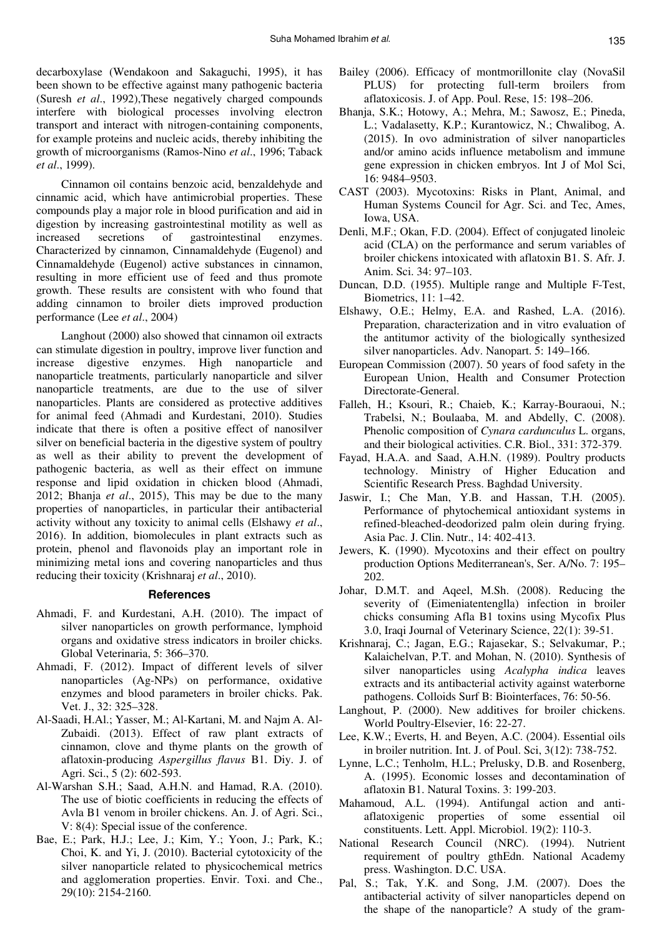decarboxylase (Wendakoon and Sakaguchi, 1995), it has been shown to be effective against many pathogenic bacteria (Suresh *et al*., 1992),These negatively charged compounds interfere with biological processes involving electron transport and interact with nitrogen-containing components, for example proteins and nucleic acids, thereby inhibiting the growth of microorganisms (Ramos-Nino *et al*., 1996; Taback *et al*., 1999).

Cinnamon oil contains benzoic acid, benzaldehyde and cinnamic acid, which have antimicrobial properties. These compounds play a major role in blood purification and aid in digestion by increasing gastrointestinal motility as well as increased secretions of gastrointestinal enzymes. Characterized by cinnamon, Cinnamaldehyde (Eugenol) and Cinnamaldehyde (Eugenol) active substances in cinnamon, resulting in more efficient use of feed and thus promote growth. These results are consistent with who found that adding cinnamon to broiler diets improved production performance (Lee *et al*., 2004)

Langhout (2000) also showed that cinnamon oil extracts can stimulate digestion in poultry, improve liver function and increase digestive enzymes. High nanoparticle and nanoparticle treatments, particularly nanoparticle and silver nanoparticle treatments, are due to the use of silver nanoparticles. Plants are considered as protective additives for animal feed (Ahmadi and Kurdestani, 2010). Studies indicate that there is often a positive effect of nanosilver silver on beneficial bacteria in the digestive system of poultry as well as their ability to prevent the development of pathogenic bacteria, as well as their effect on immune response and lipid oxidation in chicken blood (Ahmadi, 2012; Bhanja *et al*., 2015), This may be due to the many properties of nanoparticles, in particular their antibacterial activity without any toxicity to animal cells (Elshawy *et al*., 2016). In addition, biomolecules in plant extracts such as protein, phenol and flavonoids play an important role in minimizing metal ions and covering nanoparticles and thus reducing their toxicity (Krishnaraj *et al*., 2010).

#### **References**

- Ahmadi, F. and Kurdestani, A.H. (2010). The impact of silver nanoparticles on growth performance, lymphoid organs and oxidative stress indicators in broiler chicks. Global Veterinaria, 5: 366–370.
- Ahmadi, F. (2012). Impact of different levels of silver nanoparticles (Ag-NPs) on performance, oxidative enzymes and blood parameters in broiler chicks. Pak. Vet. J., 32: 325–328.
- Al-Saadi, H.Al.; Yasser, M.; Al-Kartani, M. and Najm A. Al-Zubaidi. (2013). Effect of raw plant extracts of cinnamon, clove and thyme plants on the growth of aflatoxin-producing *Aspergillus flavus* B1. Diy. J. of Agri. Sci., 5 (2): 602-593.
- Al-Warshan S.H.; Saad, A.H.N. and Hamad, R.A. (2010). The use of biotic coefficients in reducing the effects of Avla B1 venom in broiler chickens. An. J. of Agri. Sci., V: 8(4): Special issue of the conference.
- Bae, E.; Park, H.J.; Lee, J.; Kim, Y.; Yoon, J.; Park, K.; Choi, K. and Yi, J. (2010). Bacterial cytotoxicity of the silver nanoparticle related to physicochemical metrics and agglomeration properties. Envir. Toxi. and Che., 29(10): 2154-2160.
- Bailey (2006). Efficacy of montmorillonite clay (NovaSil PLUS) for protecting full-term broilers from aflatoxicosis. J. of App. Poul. Rese, 15: 198–206.
- Bhanja, S.K.; Hotowy, A.; Mehra, M.; Sawosz, E.; Pineda, L.; Vadalasetty, K.P.; Kurantowicz, N.; Chwalibog, A. (2015). In ovo administration of silver nanoparticles and/or amino acids influence metabolism and immune gene expression in chicken embryos. Int J of Mol Sci, 16: 9484–9503.
- CAST (2003). Mycotoxins: Risks in Plant, Animal, and Human Systems Council for Agr. Sci. and Tec, Ames, Iowa, USA.
- Denli, M.F.; Okan, F.D. (2004). Effect of conjugated linoleic acid (CLA) on the performance and serum variables of broiler chickens intoxicated with aflatoxin B1. S. Afr. J. Anim. Sci. 34: 97–103.
- Duncan, D.D. (1955). Multiple range and Multiple F-Test, Biometrics, 11: 1–42.
- Elshawy, O.E.; Helmy, E.A. and Rashed, L.A. (2016). Preparation, characterization and in vitro evaluation of the antitumor activity of the biologically synthesized silver nanoparticles. Adv. Nanopart. 5: 149–166.
- European Commission (2007). 50 years of food safety in the European Union, Health and Consumer Protection Directorate-General.
- Falleh, H.; Ksouri, R.; Chaieb, K.; Karray-Bouraoui, N.; Trabelsi, N.; Boulaaba, M. and Abdelly, C. (2008). Phenolic composition of *Cynara cardunculus* L. organs, and their biological activities. C.R. Biol., 331: 372-379.
- Fayad, H.A.A. and Saad, A.H.N. (1989). Poultry products technology. Ministry of Higher Education and Scientific Research Press. Baghdad University.
- Jaswir, I.; Che Man, Y.B. and Hassan, T.H. (2005). Performance of phytochemical antioxidant systems in refined-bleached-deodorized palm olein during frying. Asia Pac. J. Clin. Nutr., 14: 402-413.
- Jewers, K. (1990). Mycotoxins and their effect on poultry production Options Mediterranean's, Ser. A/No. 7: 195– 202.
- Johar, D.M.T. and Aqeel, M.Sh. (2008). Reducing the severity of (Eimeniatentenglla) infection in broiler chicks consuming Afla B1 toxins using Mycofix Plus 3.0, Iraqi Journal of Veterinary Science, 22(1): 39-51.
- Krishnaraj, C.; Jagan, E.G.; Rajasekar, S.; Selvakumar, P.; Kalaichelvan, P.T. and Mohan, N. (2010). Synthesis of silver nanoparticles using *Acalypha indica* leaves extracts and its antibacterial activity against waterborne pathogens. Colloids Surf B: Biointerfaces, 76: 50-56.
- Langhout, P. (2000). New additives for broiler chickens. World Poultry-Elsevier, 16: 22-27.
- Lee, K.W.; Everts, H. and Beyen, A.C. (2004). Essential oils in broiler nutrition. Int. J. of Poul. Sci, 3(12): 738-752.
- Lynne, L.C.; Tenholm, H.L.; Prelusky, D.B. and Rosenberg, A. (1995). Economic losses and decontamination of aflatoxin B1. Natural Toxins. 3: 199-203.
- Mahamoud, A.L. (1994). Antifungal action and antiaflatoxigenic properties of some essential oil constituents. Lett. Appl. Microbiol. 19(2): 110-3.
- National Research Council (NRC). (1994). Nutrient requirement of poultry gthEdn. National Academy press. Washington. D.C. USA.
- Pal, S.; Tak, Y.K. and Song, J.M. (2007). Does the antibacterial activity of silver nanoparticles depend on the shape of the nanoparticle? A study of the gram-